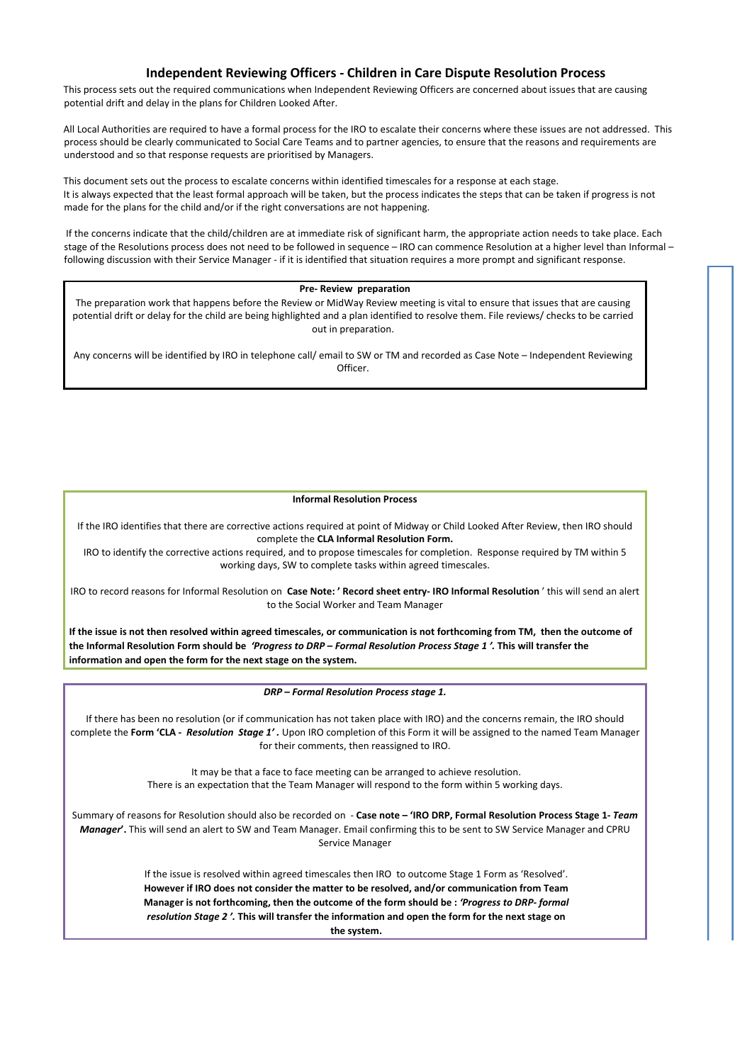# **Independent Reviewing Officers - Children in Care Dispute Resolution Process**

This process sets out the required communications when Independent Reviewing Officers are concerned about issues that are causing potential drift and delay in the plans for Children Looked After.

All Local Authorities are required to have a formal process for the IRO to escalate their concerns where these issues are not addressed. This process should be clearly communicated to Social Care Teams and to partner agencies, to ensure that the reasons and requirements are understood and so that response requests are prioritised by Managers.

This document sets out the process to escalate concerns within identified timescales for a response at each stage. It is always expected that the least formal approach will be taken, but the process indicates the steps that can be taken if progress is not made for the plans for the child and/or if the right conversations are not happening.

If the concerns indicate that the child/children are at immediate risk of significant harm, the appropriate action needs to take place. Each stage of the Resolutions process does not need to be followed in sequence – IRO can commence Resolution at a higher level than Informal – following discussion with their Service Manager - if it is identified that situation requires a more prompt and significant response.

## **Pre- Review preparation**

The preparation work that happens before the Review or MidWay Review meeting is vital to ensure that issues that are causing potential drift or delay for the child are being highlighted and a plan identified to resolve them. File reviews/ checks to be carried out in preparation.

Any concerns will be identified by IRO in telephone call/ email to SW or TM and recorded as Case Note – Independent Reviewing Officer.

## **Informal Resolution Process**

If the IRO identifies that there are corrective actions required at point of Midway or Child Looked After Review, then IRO should complete the **CLA Informal Resolution Form.**

IRO to identify the corrective actions required, and to propose timescales for completion. Response required by TM within 5 working days, SW to complete tasks within agreed timescales.

IRO to record reasons for Informal Resolution on **Case Note: ' Record sheet entry- IRO Informal Resolution** ' this will send an alert to the Social Worker and Team Manager

**If the issue is not then resolved within agreed timescales, or communication is not forthcoming from TM, then the outcome of the Informal Resolution Form should be** *'Progress to DRP – Formal Resolution Process Stage 1 '.* **This will transfer the information and open the form for the next stage on the system.**

*DRP – Formal Resolution Process stage 1.*

If there has been no resolution (or if communication has not taken place with IRO) and the concerns remain, the IRO should complete the **Form 'CLA** *- Resolution Stage 1' .* Upon IRO completion of this Form it will be assigned to the named Team Manager for their comments, then reassigned to IRO.

> It may be that a face to face meeting can be arranged to achieve resolution. There is an expectation that the Team Manager will respond to the form within 5 working days.

Summary of reasons for Resolution should also be recorded on - **Case note – 'IRO DRP, Formal Resolution Process Stage 1***- Team Manager***'.** This will send an alert to SW and Team Manager. Email confirming this to be sent to SW Service Manager and CPRU Service Manager

> If the issue is resolved within agreed timescales then IRO to outcome Stage 1 Form as 'Resolved'. **However if IRO does not consider the matter to be resolved, and/or communication from Team Manager is not forthcoming, then the outcome of the form should be :** *'Progress to DRP- formal resolution Stage 2 '.* **This will transfer the information and open the form for the next stage on the system.**